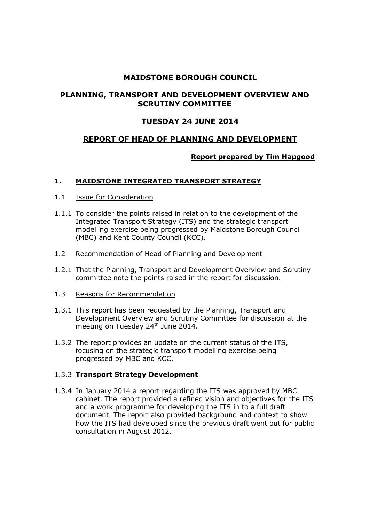# **MAIDSTONE BOROUGH COUNCIL**

# **PLANNING, TRANSPORT AND DEVELOPMENT OVERVIEW AND SCRUTINY COMMITTEE**

## **TUESDAY 24 JUNE 2014**

## **REPORT OF HEAD OF PLANNING AND DEVELOPMENT**

## **Report prepared by Tim Hapgood**

#### **1. MAIDSTONE INTEGRATED TRANSPORT STRATEGY**

- 1.1 Issue for Consideration
- 1.1.1 To consider the points raised in relation to the development of the Integrated Transport Strategy (ITS) and the strategic transport modelling exercise being progressed by Maidstone Borough Council (MBC) and Kent County Council (KCC).
- 1.2 Recommendation of Head of Planning and Development
- 1.2.1 That the Planning, Transport and Development Overview and Scrutiny committee note the points raised in the report for discussion.
- 1.3 Reasons for Recommendation
- 1.3.1 This report has been requested by the Planning, Transport and Development Overview and Scrutiny Committee for discussion at the meeting on Tuesday 24<sup>th</sup> June 2014.
- 1.3.2 The report provides an update on the current status of the ITS, focusing on the strategic transport modelling exercise being progressed by MBC and KCC.

## 1.3.3 **Transport Strategy Development**

1.3.4 In January 2014 a report regarding the ITS was approved by MBC cabinet. The report provided a refined vision and objectives for the ITS and a work programme for developing the ITS in to a full draft document. The report also provided background and context to show how the ITS had developed since the previous draft went out for public consultation in August 2012.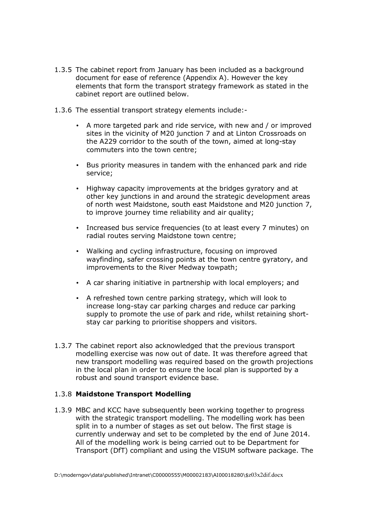- 1.3.5 The cabinet report from January has been included as a background document for ease of reference (Appendix A). However the key elements that form the transport strategy framework as stated in the cabinet report are outlined below.
- 1.3.6 The essential transport strategy elements include:-
	- A more targeted park and ride service, with new and / or improved sites in the vicinity of M20 junction 7 and at Linton Crossroads on the A229 corridor to the south of the town, aimed at long-stay commuters into the town centre;
	- Bus priority measures in tandem with the enhanced park and ride service;
	- Highway capacity improvements at the bridges gyratory and at other key junctions in and around the strategic development areas of north west Maidstone, south east Maidstone and M20 junction 7, to improve journey time reliability and air quality;
	- Increased bus service frequencies (to at least every 7 minutes) on radial routes serving Maidstone town centre;
	- Walking and cycling infrastructure, focusing on improved wayfinding, safer crossing points at the town centre gyratory, and improvements to the River Medway towpath;
	- A car sharing initiative in partnership with local employers; and
	- A refreshed town centre parking strategy, which will look to increase long-stay car parking charges and reduce car parking supply to promote the use of park and ride, whilst retaining shortstay car parking to prioritise shoppers and visitors.
- 1.3.7 The cabinet report also acknowledged that the previous transport modelling exercise was now out of date. It was therefore agreed that new transport modelling was required based on the growth projections in the local plan in order to ensure the local plan is supported by a robust and sound transport evidence base.

#### 1.3.8 **Maidstone Transport Modelling**

1.3.9 MBC and KCC have subsequently been working together to progress with the strategic transport modelling. The modelling work has been split in to a number of stages as set out below. The first stage is currently underway and set to be completed by the end of June 2014. All of the modelling work is being carried out to be Department for Transport (DfT) compliant and using the VISUM software package. The